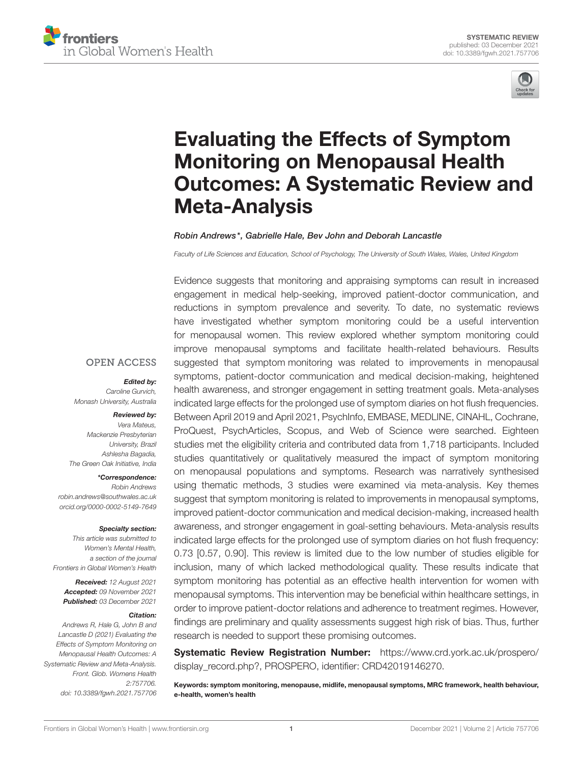



# Evaluating the Effects of Symptom Monitoring on Menopausal Health [Outcomes: A Systematic Review and](https://www.frontiersin.org/articles/10.3389/fgwh.2021.757706/full) Meta-Analysis

#### Robin Andrews\*, Gabrielle Hale, Bev John and Deborah Lancastle

*Faculty of Life Sciences and Education, School of Psychology, The University of South Wales, Wales, United Kingdom*

Evidence suggests that monitoring and appraising symptoms can result in increased engagement in medical help-seeking, improved patient-doctor communication, and reductions in symptom prevalence and severity. To date, no systematic reviews have investigated whether symptom monitoring could be a useful intervention for menopausal women. This review explored whether symptom monitoring could improve menopausal symptoms and facilitate health-related behaviours. Results suggested that symptom monitoring was related to improvements in menopausal symptoms, patient-doctor communication and medical decision-making, heightened health awareness, and stronger engagement in setting treatment goals. Meta-analyses indicated large effects for the prolonged use of symptom diaries on hot flush frequencies. Between April 2019 and April 2021, PsychInfo, EMBASE, MEDLINE, CINAHL, Cochrane, ProQuest, PsychArticles, Scopus, and Web of Science were searched. Eighteen studies met the eligibility criteria and contributed data from 1,718 participants. Included studies quantitatively or qualitatively measured the impact of symptom monitoring on menopausal populations and symptoms. Research was narratively synthesised using thematic methods, 3 studies were examined via meta-analysis. Key themes suggest that symptom monitoring is related to improvements in menopausal symptoms, improved patient-doctor communication and medical decision-making, increased health awareness, and stronger engagement in goal-setting behaviours. Meta-analysis results indicated large effects for the prolonged use of symptom diaries on hot flush frequency: 0.73 [0.57, 0.90]. This review is limited due to the low number of studies eligible for inclusion, many of which lacked methodological quality. These results indicate that symptom monitoring has potential as an effective health intervention for women with menopausal symptoms. This intervention may be beneficial within healthcare settings, in order to improve patient-doctor relations and adherence to treatment regimes. However, findings are preliminary and quality assessments suggest high risk of bias. Thus, further research is needed to support these promising outcomes.

Systematic Review Registration Number: [https://www.crd.york.ac.uk/prospero/](https://www.crd.york.ac.uk/prospero/display_record.php?) [display\\_record.php?,](https://www.crd.york.ac.uk/prospero/display_record.php?) PROSPERO, identifier: CRD42019146270.

Keywords: symptom monitoring, menopause, midlife, menopausal symptoms, MRC framework, health behaviour, e-health, women's health

## **OPEN ACCESS**

#### Edited by:

*Caroline Gurvich, Monash University, Australia*

#### Reviewed by:

*Vera Mateus, Mackenzie Presbyterian University, Brazil Ashlesha Bagadia, The Green Oak Initiative, India*

#### \*Correspondence:

*Robin Andrews [robin.andrews@southwales.ac.uk](mailto:robin.andrews@southwales.ac.uk) [orcid.org/0000-0002-5149-7649](https://orcid.org/0000-0002-5149-7649)*

#### Specialty section:

*This article was submitted to Women's Mental Health, a section of the journal Frontiers in Global Women's Health*

Received: *12 August 2021* Accepted: *09 November 2021* Published: *03 December 2021*

#### Citation:

*Andrews R, Hale G, John B and Lancastle D (2021) Evaluating the Effects of Symptom Monitoring on Menopausal Health Outcomes: A Systematic Review and Meta-Analysis. Front. Glob. Womens Health 2:757706. doi: [10.3389/fgwh.2021.757706](https://doi.org/10.3389/fgwh.2021.757706)*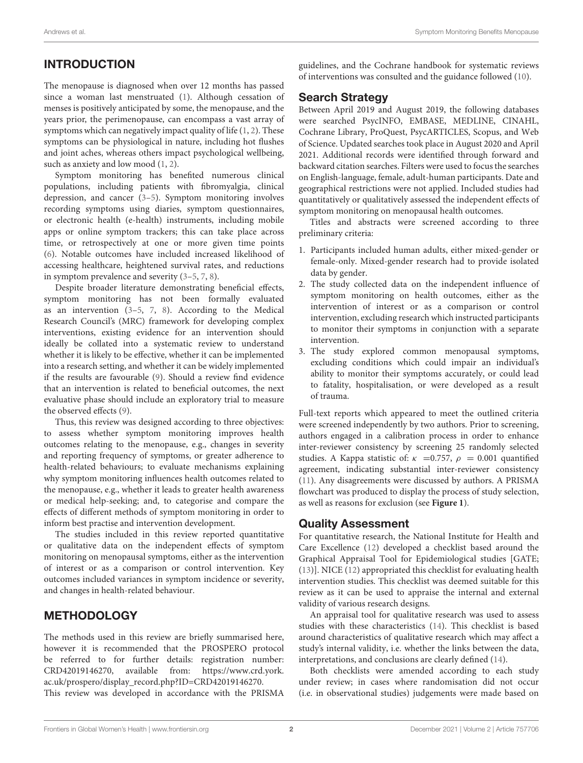## INTRODUCTION

The menopause is diagnosed when over 12 months has passed since a woman last menstruated [\(1\)](#page-14-0). Although cessation of menses is positively anticipated by some, the menopause, and the years prior, the perimenopause, can encompass a vast array of symptoms which can negatively impact quality of life [\(1,](#page-14-0) [2\)](#page-14-1). These symptoms can be physiological in nature, including hot flushes and joint aches, whereas others impact psychological wellbeing, such as anxiety and low mood [\(1,](#page-14-0) [2\)](#page-14-1).

Symptom monitoring has benefited numerous clinical populations, including patients with fibromyalgia, clinical depression, and cancer [\(3](#page-14-2)[–5\)](#page-14-3). Symptom monitoring involves recording symptoms using diaries, symptom questionnaires, or electronic health (e-health) instruments, including mobile apps or online symptom trackers; this can take place across time, or retrospectively at one or more given time points [\(6\)](#page-14-4). Notable outcomes have included increased likelihood of accessing healthcare, heightened survival rates, and reductions in symptom prevalence and severity [\(3](#page-14-2)[–5,](#page-14-3) [7,](#page-14-5) [8\)](#page-14-6).

Despite broader literature demonstrating beneficial effects, symptom monitoring has not been formally evaluated as an intervention [\(3](#page-14-2)[–5,](#page-14-3) [7,](#page-14-5) [8\)](#page-14-6). According to the Medical Research Council's (MRC) framework for developing complex interventions, existing evidence for an intervention should ideally be collated into a systematic review to understand whether it is likely to be effective, whether it can be implemented into a research setting, and whether it can be widely implemented if the results are favourable [\(9\)](#page-14-7). Should a review find evidence that an intervention is related to beneficial outcomes, the next evaluative phase should include an exploratory trial to measure the observed effects [\(9\)](#page-14-7).

Thus, this review was designed according to three objectives: to assess whether symptom monitoring improves health outcomes relating to the menopause, e.g., changes in severity and reporting frequency of symptoms, or greater adherence to health-related behaviours; to evaluate mechanisms explaining why symptom monitoring influences health outcomes related to the menopause, e.g., whether it leads to greater health awareness or medical help-seeking; and, to categorise and compare the effects of different methods of symptom monitoring in order to inform best practise and intervention development.

The studies included in this review reported quantitative or qualitative data on the independent effects of symptom monitoring on menopausal symptoms, either as the intervention of interest or as a comparison or control intervention. Key outcomes included variances in symptom incidence or severity, and changes in health-related behaviour.

## METHODOLOGY

The methods used in this review are briefly summarised here, however it is recommended that the PROSPERO protocol be referred to for further details: registration number: CRD42019146270, available from: [https://www.crd.york.](https://www.crd.york.ac.uk/prospero/display_record.php?ID=CRD42019146270) [ac.uk/prospero/display\\_record.php?ID=CRD42019146270.](https://www.crd.york.ac.uk/prospero/display_record.php?ID=CRD42019146270) This review was developed in accordance with the PRISMA guidelines, and the Cochrane handbook for systematic reviews of interventions was consulted and the guidance followed [\(10\)](#page-14-8).

## Search Strategy

Between April 2019 and August 2019, the following databases were searched PsycINFO, EMBASE, MEDLINE, CINAHL, Cochrane Library, ProQuest, PsycARTICLES, Scopus, and Web of Science. Updated searches took place in August 2020 and April 2021. Additional records were identified through forward and backward citation searches. Filters were used to focus the searches on English-language, female, adult-human participants. Date and geographical restrictions were not applied. Included studies had quantitatively or qualitatively assessed the independent effects of symptom monitoring on menopausal health outcomes.

Titles and abstracts were screened according to three preliminary criteria:

- 1. Participants included human adults, either mixed-gender or female-only. Mixed-gender research had to provide isolated data by gender.
- 2. The study collected data on the independent influence of symptom monitoring on health outcomes, either as the intervention of interest or as a comparison or control intervention, excluding research which instructed participants to monitor their symptoms in conjunction with a separate intervention.
- 3. The study explored common menopausal symptoms, excluding conditions which could impair an individual's ability to monitor their symptoms accurately, or could lead to fatality, hospitalisation, or were developed as a result of trauma.

Full-text reports which appeared to meet the outlined criteria were screened independently by two authors. Prior to screening, authors engaged in a calibration process in order to enhance inter-reviewer consistency by screening 25 randomly selected studies. A Kappa statistic of:  $\kappa$  =0.757,  $\rho$  = 0.001 quantified agreement, indicating substantial inter-reviewer consistency [\(11\)](#page-14-9). Any disagreements were discussed by authors. A PRISMA flowchart was produced to display the process of study selection, as well as reasons for exclusion (see **[Figure 1](#page-2-0)**).

## Quality Assessment

For quantitative research, the National Institute for Health and Care Excellence [\(12\)](#page-14-10) developed a checklist based around the Graphical Appraisal Tool for Epidemiological studies [GATE; [\(13\)](#page-14-11)]. NICE [\(12\)](#page-14-10) appropriated this checklist for evaluating health intervention studies. This checklist was deemed suitable for this review as it can be used to appraise the internal and external validity of various research designs.

An appraisal tool for qualitative research was used to assess studies with these characteristics [\(14\)](#page-14-12). This checklist is based around characteristics of qualitative research which may affect a study's internal validity, i.e. whether the links between the data, interpretations, and conclusions are clearly defined [\(14\)](#page-14-12).

Both checklists were amended according to each study under review; in cases where randomisation did not occur (i.e. in observational studies) judgements were made based on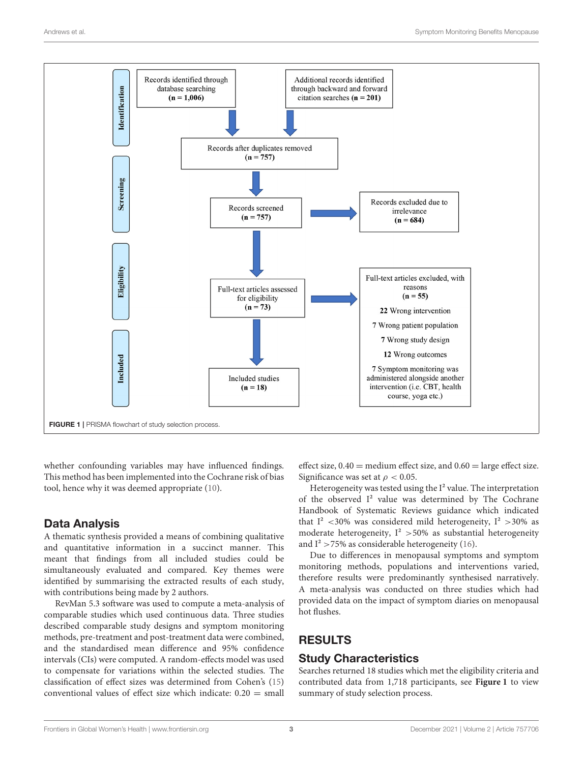

<span id="page-2-0"></span>whether confounding variables may have influenced findings. This method has been implemented into the Cochrane risk of bias tool, hence why it was deemed appropriate [\(10\)](#page-14-8).

## Data Analysis

A thematic synthesis provided a means of combining qualitative and quantitative information in a succinct manner. This meant that findings from all included studies could be simultaneously evaluated and compared. Key themes were identified by summarising the extracted results of each study, with contributions being made by 2 authors.

RevMan 5.3 software was used to compute a meta-analysis of comparable studies which used continuous data. Three studies described comparable study designs and symptom monitoring methods, pre-treatment and post-treatment data were combined, and the standardised mean difference and 95% confidence intervals (CIs) were computed. A random-effects model was used to compensate for variations within the selected studies. The classification of effect sizes was determined from Cohen's [\(15\)](#page-14-13) conventional values of effect size which indicate:  $0.20 = \text{small}$  effect size,  $0.40$  = medium effect size, and  $0.60$  = large effect size. Significance was set at  $\rho < 0.05$ .

Heterogeneity was tested using the I<sup>2</sup> value. The interpretation of the observed I² value was determined by The Cochrane Handbook of Systematic Reviews guidance which indicated that  $I^2$  <30% was considered mild heterogeneity,  $I^2$  >30% as moderate heterogeneity,  $I^2 > 50\%$  as substantial heterogeneity and  $I^2 > 75\%$  as considerable heterogeneity [\(16\)](#page-14-14).

Due to differences in menopausal symptoms and symptom monitoring methods, populations and interventions varied, therefore results were predominantly synthesised narratively. A meta-analysis was conducted on three studies which had provided data on the impact of symptom diaries on menopausal hot flushes.

## RESULTS

## Study Characteristics

Searches returned 18 studies which met the eligibility criteria and contributed data from 1,718 participants, see **[Figure 1](#page-2-0)** to view summary of study selection process.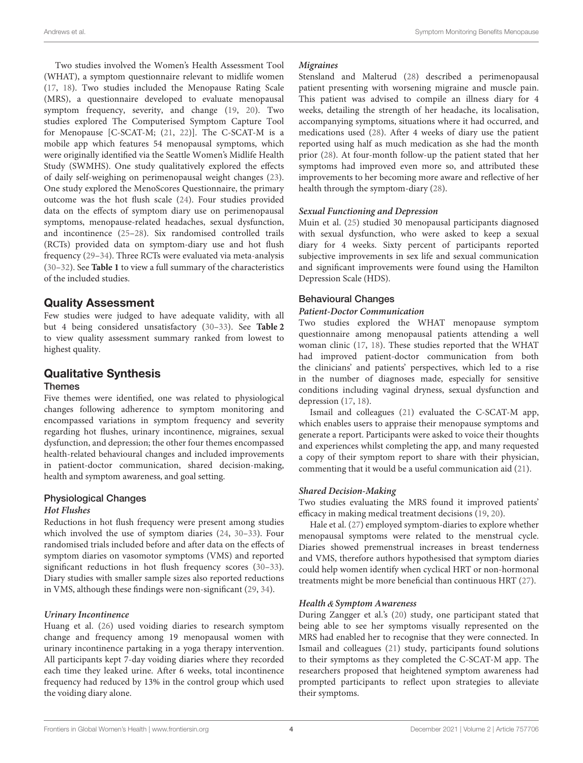Two studies involved the Women's Health Assessment Tool (WHAT), a symptom questionnaire relevant to midlife women [\(17,](#page-14-15) [18\)](#page-14-16). Two studies included the Menopause Rating Scale (MRS), a questionnaire developed to evaluate menopausal symptom frequency, severity, and change [\(19,](#page-14-17) [20\)](#page-14-18). Two studies explored The Computerised Symptom Capture Tool for Menopause [C-SCAT-M; [\(21,](#page-14-19) [22\)](#page-14-20)]. The C-SCAT-M is a mobile app which features 54 menopausal symptoms, which were originally identified via the Seattle Women's Midlife Health Study (SWMHS). One study qualitatively explored the effects of daily self-weighing on perimenopausal weight changes [\(23\)](#page-14-21). One study explored the MenoScores Questionnaire, the primary outcome was the hot flush scale [\(24\)](#page-14-22). Four studies provided data on the effects of symptom diary use on perimenopausal symptoms, menopause-related headaches, sexual dysfunction, and incontinence [\(25–](#page-14-23)[28\)](#page-14-24). Six randomised controlled trails (RCTs) provided data on symptom-diary use and hot flush frequency [\(29](#page-14-25)[–34\)](#page-14-26). Three RCTs were evaluated via meta-analysis [\(30](#page-14-27)[–32\)](#page-14-28). See **[Table 1](#page-4-0)** to view a full summary of the characteristics of the included studies.

## Quality Assessment

Few studies were judged to have adequate validity, with all but 4 being considered unsatisfactory [\(30–](#page-14-27)[33\)](#page-14-29). See **[Table 2](#page-9-0)** to view quality assessment summary ranked from lowest to highest quality.

#### Qualitative Synthesis Themes

Five themes were identified, one was related to physiological changes following adherence to symptom monitoring and encompassed variations in symptom frequency and severity regarding hot flushes, urinary incontinence, migraines, sexual dysfunction, and depression; the other four themes encompassed health-related behavioural changes and included improvements in patient-doctor communication, shared decision-making, health and symptom awareness, and goal setting.

## Physiological Changes

### **Hot Flushes**

Reductions in hot flush frequency were present among studies which involved the use of symptom diaries [\(24,](#page-14-22) [30](#page-14-27)[–33\)](#page-14-29). Four randomised trials included before and after data on the effects of symptom diaries on vasomotor symptoms (VMS) and reported significant reductions in hot flush frequency scores [\(30–](#page-14-27)[33\)](#page-14-29). Diary studies with smaller sample sizes also reported reductions in VMS, although these findings were non-significant [\(29,](#page-14-25) [34\)](#page-14-26).

### **Urinary Incontinence**

Huang et al. [\(26\)](#page-14-30) used voiding diaries to research symptom change and frequency among 19 menopausal women with urinary incontinence partaking in a yoga therapy intervention. All participants kept 7-day voiding diaries where they recorded each time they leaked urine. After 6 weeks, total incontinence frequency had reduced by 13% in the control group which used the voiding diary alone.

### **Migraines**

Stensland and Malterud [\(28\)](#page-14-24) described a perimenopausal patient presenting with worsening migraine and muscle pain. This patient was advised to compile an illness diary for 4 weeks, detailing the strength of her headache, its localisation, accompanying symptoms, situations where it had occurred, and medications used [\(28\)](#page-14-24). After 4 weeks of diary use the patient reported using half as much medication as she had the month prior [\(28\)](#page-14-24). At four-month follow-up the patient stated that her symptoms had improved even more so, and attributed these improvements to her becoming more aware and reflective of her health through the symptom-diary [\(28\)](#page-14-24).

### **Sexual Functioning and Depression**

Muin et al. [\(25\)](#page-14-23) studied 30 menopausal participants diagnosed with sexual dysfunction, who were asked to keep a sexual diary for 4 weeks. Sixty percent of participants reported subjective improvements in sex life and sexual communication and significant improvements were found using the Hamilton Depression Scale (HDS).

### Behavioural Changes

#### **Patient-Doctor Communication**

Two studies explored the WHAT menopause symptom questionnaire among menopausal patients attending a well woman clinic [\(17,](#page-14-15) [18\)](#page-14-16). These studies reported that the WHAT had improved patient-doctor communication from both the clinicians' and patients' perspectives, which led to a rise in the number of diagnoses made, especially for sensitive conditions including vaginal dryness, sexual dysfunction and depression [\(17,](#page-14-15) [18\)](#page-14-16).

Ismail and colleagues [\(21\)](#page-14-19) evaluated the C-SCAT-M app, which enables users to appraise their menopause symptoms and generate a report. Participants were asked to voice their thoughts and experiences whilst completing the app, and many requested a copy of their symptom report to share with their physician, commenting that it would be a useful communication aid [\(21\)](#page-14-19).

### **Shared Decision-Making**

Two studies evaluating the MRS found it improved patients' efficacy in making medical treatment decisions [\(19,](#page-14-17) [20\)](#page-14-18).

Hale et al. [\(27\)](#page-14-31) employed symptom-diaries to explore whether menopausal symptoms were related to the menstrual cycle. Diaries showed premenstrual increases in breast tenderness and VMS, therefore authors hypothesised that symptom diaries could help women identify when cyclical HRT or non-hormonal treatments might be more beneficial than continuous HRT [\(27\)](#page-14-31).

### **Health Symptom Awareness**

During Zangger et al.'s [\(20\)](#page-14-18) study, one participant stated that being able to see her symptoms visually represented on the MRS had enabled her to recognise that they were connected. In Ismail and colleagues [\(21\)](#page-14-19) study, participants found solutions to their symptoms as they completed the C-SCAT-M app. The researchers proposed that heightened symptom awareness had prompted participants to reflect upon strategies to alleviate their symptoms.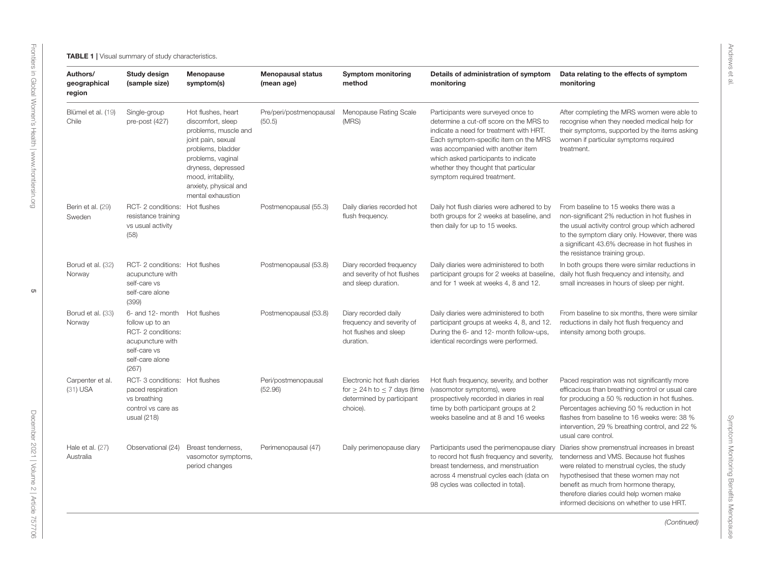<span id="page-4-0"></span>

| Authors/<br>geographical<br>region | Study design<br>(sample size)                                                                                                        | <b>Menopause</b><br>symptom(s)                                                                                                                                                                                             | <b>Menopausal status</b><br>(mean age) | <b>Symptom monitoring</b><br>method                                                                             | Details of administration of symptom<br>monitoring                                                                                                                                                                                                                                                                    | Data relating to the effects of symptom<br>monitoring                                                                                                                                                                                                                                                                      |
|------------------------------------|--------------------------------------------------------------------------------------------------------------------------------------|----------------------------------------------------------------------------------------------------------------------------------------------------------------------------------------------------------------------------|----------------------------------------|-----------------------------------------------------------------------------------------------------------------|-----------------------------------------------------------------------------------------------------------------------------------------------------------------------------------------------------------------------------------------------------------------------------------------------------------------------|----------------------------------------------------------------------------------------------------------------------------------------------------------------------------------------------------------------------------------------------------------------------------------------------------------------------------|
| Blümel et al. (19)<br>Chile        | Single-group<br>pre-post (427)                                                                                                       | Hot flushes, heart<br>discomfort, sleep<br>problems, muscle and<br>joint pain, sexual<br>problems, bladder<br>problems, vaginal<br>dryness, depressed<br>mood, irritability,<br>anxiety, physical and<br>mental exhaustion | Pre/peri/postmenopausal<br>(50.5)      | Menopause Rating Scale<br>(MRS)                                                                                 | Participants were surveyed once to<br>determine a cut-off score on the MRS to<br>indicate a need for treatment with HRT.<br>Each symptom-specific item on the MRS<br>was accompanied with another item<br>which asked participants to indicate<br>whether they thought that particular<br>symptom required treatment. | After completing the MRS women were able to<br>recognise when they needed medical help for<br>their symptoms, supported by the items asking<br>women if particular symptoms required<br>treatment.                                                                                                                         |
| Berin et al. (29)<br>Sweden        | RCT- 2 conditions: Hot flushes<br>resistance training<br>vs usual activity<br>(58)                                                   |                                                                                                                                                                                                                            | Postmenopausal (55.3)                  | Daily diaries recorded hot<br>flush frequency.                                                                  | Daily hot flush diaries were adhered to by<br>both groups for 2 weeks at baseline, and<br>then daily for up to 15 weeks.                                                                                                                                                                                              | From baseline to 15 weeks there was a<br>non-significant 2% reduction in hot flushes in<br>the usual activity control group which adhered<br>to the symptom diary only. However, there was<br>a significant 43.6% decrease in hot flushes in<br>the resistance training group.                                             |
| Borud et al. (32)<br>Norway        | RCT- 2 conditions: Hot flushes<br>acupuncture with<br>self-care vs<br>self-care alone<br>(399)                                       |                                                                                                                                                                                                                            | Postmenopausal (53.8)                  | Diary recorded frequency<br>and severity of hot flushes<br>and sleep duration.                                  | Daily diaries were administered to both<br>participant groups for 2 weeks at baseline,<br>and for 1 week at weeks 4, 8 and 12.                                                                                                                                                                                        | In both groups there were similar reductions in<br>daily hot flush frequency and intensity, and<br>small increases in hours of sleep per night.                                                                                                                                                                            |
| Borud et al. (33)<br>Norway        | 6- and 12- month Hot flushes<br>follow up to an<br>RCT-2 conditions:<br>acupuncture with<br>self-care vs<br>self-care alone<br>(267) |                                                                                                                                                                                                                            | Postmenopausal (53.8)                  | Diary recorded daily<br>frequency and severity of<br>hot flushes and sleep<br>duration.                         | Daily diaries were administered to both<br>participant groups at weeks 4, 8, and 12.<br>During the 6- and 12- month follow-ups,<br>identical recordings were performed.                                                                                                                                               | From baseline to six months, there were similar<br>reductions in daily hot flush frequency and<br>intensity among both groups.                                                                                                                                                                                             |
| Carpenter et al.<br>$(31)$ USA     | RCT- 3 conditions: Hot flushes<br>paced respiration<br>vs breathing<br>control vs care as<br>usual $(218)$                           |                                                                                                                                                                                                                            | Peri/postmenopausal<br>(52.96)         | Electronic hot flush diaries<br>for $\geq$ 24 h to $\leq$ 7 days (time<br>determined by participant<br>choice). | Hot flush frequency, severity, and bother<br>(vasomotor symptoms), were<br>prospectively recorded in diaries in real<br>time by both participant groups at 2<br>weeks baseline and at 8 and 16 weeks                                                                                                                  | Paced respiration was not significantly more<br>efficacious than breathing control or usual care<br>for producing a 50 % reduction in hot flushes.<br>Percentages achieving 50 % reduction in hot<br>flashes from baseline to 16 weeks were: 38 %<br>intervention, 29 % breathing control, and 22 %<br>usual care control. |
| Hale et al. (27)<br>Australia      | Observational (24)                                                                                                                   | Breast tenderness,<br>vasomotor symptoms,<br>period changes                                                                                                                                                                | Perimenopausal (47)                    | Daily perimenopause diary                                                                                       | Participants used the perimenopause diary<br>to record hot flush frequency and severity,<br>breast tenderness, and menstruation<br>across 4 menstrual cycles each (data on<br>98 cycles was collected in total).                                                                                                      | Diaries show premenstrual increases in breast<br>tenderness and VMS. Because hot flushes<br>were related to menstrual cycles, the study<br>hypothesised that these women may not<br>benefit as much from hormone therapy,<br>therefore diaries could help women make<br>informed decisions on whether to use HRT.          |

Andrews et al.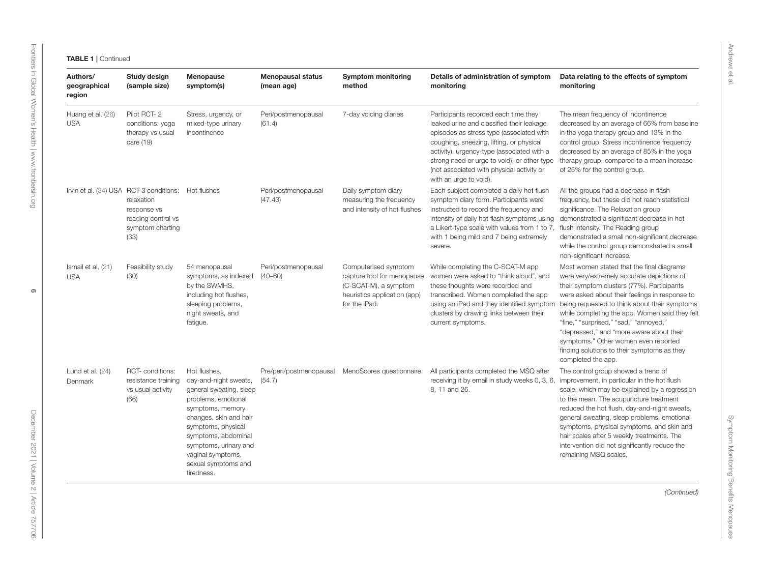| Authors/<br>geographical<br>region | Study design<br>(sample size)                                                                                                      | <b>Menopause</b><br>symptom(s)                                                                                                                                                                                                                                        | <b>Menopausal status</b><br>(mean age) | <b>Symptom monitoring</b><br>method                                                                                          | Details of administration of symptom<br>monitoring                                                                                                                                                                                                                                                                                            | Data relating to the effects of symptom<br>monitoring                                                                                                                                                                                                                                                                                                                                                                                                                                         |
|------------------------------------|------------------------------------------------------------------------------------------------------------------------------------|-----------------------------------------------------------------------------------------------------------------------------------------------------------------------------------------------------------------------------------------------------------------------|----------------------------------------|------------------------------------------------------------------------------------------------------------------------------|-----------------------------------------------------------------------------------------------------------------------------------------------------------------------------------------------------------------------------------------------------------------------------------------------------------------------------------------------|-----------------------------------------------------------------------------------------------------------------------------------------------------------------------------------------------------------------------------------------------------------------------------------------------------------------------------------------------------------------------------------------------------------------------------------------------------------------------------------------------|
| Huang et al. (26)<br><b>USA</b>    | Pilot RCT-2<br>conditions: yoga<br>therapy vs usual<br>care (19)                                                                   | Stress, urgency, or<br>mixed-type urinary<br>incontinence                                                                                                                                                                                                             | Peri/postmenopausal<br>(61.4)          | 7-day voiding diaries                                                                                                        | Participants recorded each time they<br>leaked urine and classified their leakage<br>episodes as stress type (associated with<br>coughing, sneezing, lifting, or physical<br>activity), urgency-type (associated with a<br>strong need or urge to void), or other-type<br>(not associated with physical activity or<br>with an urge to void). | The mean frequency of incontinence<br>decreased by an average of 66% from baseline<br>in the yoga therapy group and 13% in the<br>control group. Stress incontinence frequency<br>decreased by an average of 85% in the yoga<br>therapy group, compared to a mean increase<br>of 25% for the control group.                                                                                                                                                                                   |
|                                    | Irvin et al. (34) USA RCT-3 conditions: Hot flushes<br>relaxation<br>response vs<br>reading control vs<br>symptom charting<br>(33) |                                                                                                                                                                                                                                                                       | Peri/postmenopausal<br>(47.43)         | Daily symptom diary<br>measuring the frequency<br>and intensity of hot flushes                                               | Each subject completed a daily hot flush<br>symptom diary form. Participants were<br>instructed to record the frequency and<br>intensity of daily hot flash symptoms using<br>a Likert-type scale with values from 1 to 7,<br>with 1 being mild and 7 being extremely<br>severe.                                                              | All the groups had a decrease in flash<br>frequency, but these did not reach statistical<br>significance. The Relaxation group<br>demonstrated a significant decrease in hot<br>flush intensity. The Reading group<br>demonstrated a small non-significant decrease<br>while the control group demonstrated a small<br>non-significant increase.                                                                                                                                              |
| Ismail et al. (21)<br><b>USA</b>   | Feasibility study<br>(30)                                                                                                          | 54 menopausal<br>symptoms, as indexed<br>by the SWMHS,<br>including hot flushes,<br>sleeping problems,<br>night sweats, and<br>fatigue.                                                                                                                               | Peri/postmenopausal<br>$(40 - 60)$     | Computerised symptom<br>capture tool for menopause<br>(C-SCAT-M), a symptom<br>heuristics application (app)<br>for the iPad. | While completing the C-SCAT-M app<br>women were asked to "think aloud", and<br>these thoughts were recorded and<br>transcribed. Women completed the app<br>using an iPad and they identified symptom<br>clusters by drawing links between their<br>current symptoms.                                                                          | Most women stated that the final diagrams<br>were very/extremely accurate depictions of<br>their symptom clusters (77%). Participants<br>were asked about their feelings in response to<br>being requested to think about their symptoms<br>while completing the app. Women said they felt<br>"fine," "surprised," "sad," "annoyed,"<br>"depressed," and "more aware about their<br>symptoms." Other women even reported<br>finding solutions to their symptoms as they<br>completed the app. |
| Lund et al. $(24)$<br>Denmark      | RCT-conditions:<br>resistance training<br>vs usual activity<br>(66)                                                                | Hot flushes.<br>day-and-night sweats,<br>general sweating, sleep<br>problems, emotional<br>symptoms, memory<br>changes, skin and hair<br>symptoms, physical<br>symptoms, abdominal<br>symptoms, urinary and<br>vaginal symptoms,<br>sexual symptoms and<br>tiredness. | Pre/peri/postmenopausal<br>(54.7)      | MenoScores questionnaire                                                                                                     | All participants completed the MSQ after<br>receiving it by email in study weeks 0, 3, 6,<br>8, 11 and 26.                                                                                                                                                                                                                                    | The control group showed a trend of<br>improvement, in particular in the hot flush<br>scale, which may be explained by a regression<br>to the mean. The acupuncture treatment<br>reduced the hot flush, day-and-night sweats,<br>general sweating, sleep problems, emotional<br>symptoms, physical symptoms, and skin and<br>hair scales after 5 weekly treatments. The<br>intervention did not significantly reduce the<br>remaining MSQ scales,                                             |
|                                    |                                                                                                                                    |                                                                                                                                                                                                                                                                       |                                        |                                                                                                                              |                                                                                                                                                                                                                                                                                                                                               | (Continued)                                                                                                                                                                                                                                                                                                                                                                                                                                                                                   |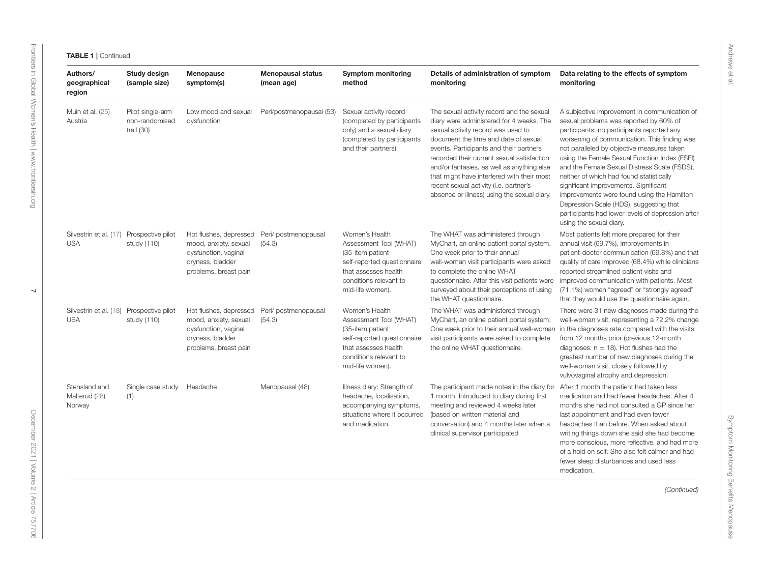| Authors/<br>geographical<br>region                     | <b>Study design</b><br>(sample size)               | Menopause<br>symptom(s)                                                                                              | <b>Menopausal status</b><br>(mean age) | <b>Symptom monitoring</b><br>method                                                                                                                               | Details of administration of symptom<br>monitoring                                                                                                                                                                                                                                                                                                                                                                                                | Data relating to the effects of symptom<br>monitoring                                                                                                                                                                                                                                                                                                                                                                                                                                                                                                                                             |
|--------------------------------------------------------|----------------------------------------------------|----------------------------------------------------------------------------------------------------------------------|----------------------------------------|-------------------------------------------------------------------------------------------------------------------------------------------------------------------|---------------------------------------------------------------------------------------------------------------------------------------------------------------------------------------------------------------------------------------------------------------------------------------------------------------------------------------------------------------------------------------------------------------------------------------------------|---------------------------------------------------------------------------------------------------------------------------------------------------------------------------------------------------------------------------------------------------------------------------------------------------------------------------------------------------------------------------------------------------------------------------------------------------------------------------------------------------------------------------------------------------------------------------------------------------|
| Muin et al. (25)<br>Austria                            | Pilot single-arm<br>non-randomised<br>trail $(30)$ | Low mood and sexual<br>dysfunction                                                                                   | Peri/postmenopausal (53)               | Sexual activity record<br>(completed by participants)<br>only) and a sexual diary<br>(completed by participants)<br>and their partners)                           | The sexual activity record and the sexual<br>diary were administered for 4 weeks. The<br>sexual activity record was used to<br>document the time and date of sexual<br>events. Participants and their partners<br>recorded their current sexual satisfaction<br>and/or fantasies, as well as anything else<br>that might have interfered with their most<br>recent sexual activity (i.e. partner's<br>absence or illness) using the sexual diary. | A subjective improvement in communication of<br>sexual problems was reported by 60% of<br>participants; no participants reported any<br>worsening of communication. This finding was<br>not paralleled by objective measures taken<br>using the Female Sexual Function Index (FSFI)<br>and the Female Sexual Distress Scale (FSDS),<br>neither of which had found statistically<br>significant improvements. Significant<br>improvements were found using the Hamilton<br>Depression Scale (HDS), suggesting that<br>participants had lower levels of depression after<br>using the sexual diary. |
| Silvestrin et al. (17) Prospective pilot<br><b>USA</b> | study (110)                                        | Hot flushes, depressed<br>mood, anxiety, sexual<br>dysfunction, vaginal<br>dryness, bladder<br>problems, breast pain | Peri/ postmenopausal<br>(54.3)         | Women's Health<br>Assessment Tool (WHAT)<br>(35-item patient<br>self-reported questionnaire<br>that assesses health<br>conditions relevant to<br>mid-life women). | The WHAT was administered through<br>MyChart, an online patient portal system.<br>One week prior to their annual<br>well-woman visit participants were asked<br>to complete the online WHAT<br>questionnaire. After this visit patients were<br>surveyed about their perceptions of using<br>the WHAT questionnaire.                                                                                                                              | Most patients felt more prepared for their<br>annual visit (69.7%), improvements in<br>patient-doctor communication (69.8%) and that<br>quality of care improved (68.4%) while clinicians<br>reported streamlined patient visits and<br>improved communication with patients. Most<br>(71.1%) women "agreed" or "strongly agreed"<br>that they would use the questionnaire again.                                                                                                                                                                                                                 |
| Silvestrin et al. (18)<br><b>USA</b>                   | Prospective pilot<br>study (110)                   | Hot flushes, depressed<br>mood, anxiety, sexual<br>dysfunction, vaginal<br>dryness, bladder<br>problems, breast pain | Peri/ postmenopausal<br>(54.3)         | Women's Health<br>Assessment Tool (WHAT)<br>(35-item patient<br>self-reported questionnaire<br>that assesses health<br>conditions relevant to<br>mid-life women). | The WHAT was administered through<br>MyChart, an online patient portal system.<br>One week prior to their annual well-woman<br>visit participants were asked to complete<br>the online WHAT questionnaire.                                                                                                                                                                                                                                        | There were 31 new diagnoses made during the<br>well-woman visit, representing a 72.2% change<br>in the diagnoses rate compared with the visits<br>from 12 months prior (previous 12-month<br>diagnoses: $n = 18$ ). Hot flushes had the<br>greatest number of new diagnoses during the<br>well-woman visit, closely followed by<br>vulvovaginal atrophy and depression.                                                                                                                                                                                                                           |
| Stensland and<br>Malterud (28)<br>Norway               | Single case study<br>(1)                           | Headache                                                                                                             | Menopausal (48)                        | Illness diary: Strength of<br>headache, localisation,<br>accompanying symptoms,<br>situations where it occurred<br>and medication.                                | The participant made notes in the diary for<br>1 month. Introduced to diary during first<br>meeting and reviewed 4 weeks later<br>(based on written material and<br>conversation) and 4 months later when a<br>clinical supervisor participated                                                                                                                                                                                                   | After 1 month the patient had taken less<br>medication and had fewer headaches. After 4<br>months she had not consulted a GP since her<br>last appointment and had even fewer<br>headaches than before. When asked about<br>writing things down she said she had become<br>more conscious, more reflective, and had more<br>of a hold on self. She also felt calmer and had<br>fewer sleep disturbances and used less<br>medication.                                                                                                                                                              |
|                                                        |                                                    |                                                                                                                      |                                        |                                                                                                                                                                   |                                                                                                                                                                                                                                                                                                                                                                                                                                                   | (Continued)                                                                                                                                                                                                                                                                                                                                                                                                                                                                                                                                                                                       |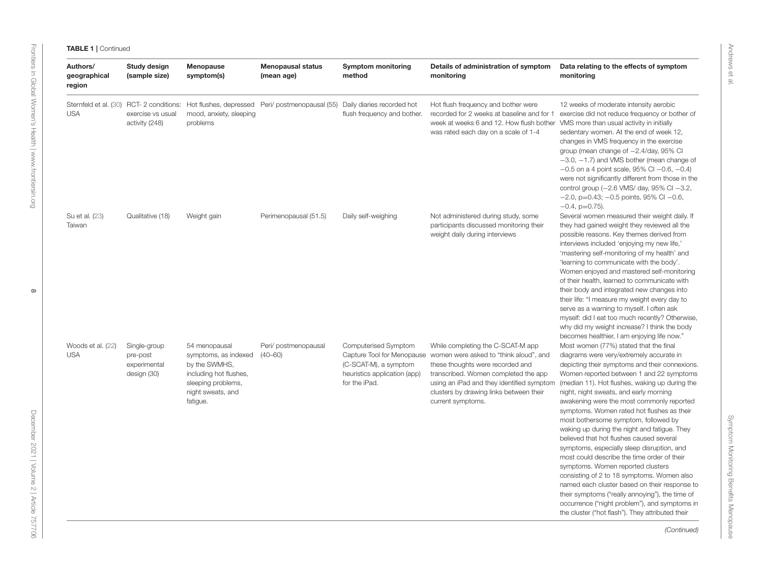| Authors/<br>geographical<br>region  | Study design<br>(sample size)                           | Menopause<br>symptom(s)                                                                                                                 | <b>Menopausal status</b><br>(mean age)                             | <b>Symptom monitoring</b><br>method                                                            | Details of administration of symptom<br>monitoring                                                                                                                                                                                                                                              | Data relating to the effects of symptom<br>monitoring                                                                                                                                                                                                                                                                                                                                                                                                                                                                                                                                                                                                                                                                                                                                                                                                                                                |
|-------------------------------------|---------------------------------------------------------|-----------------------------------------------------------------------------------------------------------------------------------------|--------------------------------------------------------------------|------------------------------------------------------------------------------------------------|-------------------------------------------------------------------------------------------------------------------------------------------------------------------------------------------------------------------------------------------------------------------------------------------------|------------------------------------------------------------------------------------------------------------------------------------------------------------------------------------------------------------------------------------------------------------------------------------------------------------------------------------------------------------------------------------------------------------------------------------------------------------------------------------------------------------------------------------------------------------------------------------------------------------------------------------------------------------------------------------------------------------------------------------------------------------------------------------------------------------------------------------------------------------------------------------------------------|
| Sternfeld et al. (30)<br><b>USA</b> | exercise vs usual<br>activity (248)                     | mood, anxiety, sleeping<br>problems                                                                                                     | RCT-2 conditions: Hot flushes, depressed Peri/ postmenopausal (55) | Daily diaries recorded hot<br>flush frequency and bother.                                      | Hot flush frequency and bother were<br>recorded for 2 weeks at baseline and for 1<br>week at weeks 6 and 12. How flush bother<br>was rated each day on a scale of 1-4                                                                                                                           | 12 weeks of moderate intensity aerobic<br>exercise did not reduce frequency or bother of<br>VMS more than usual activity in initially<br>sedentary women. At the end of week 12,<br>changes in VMS frequency in the exercise<br>group (mean change of -2.4/day, 95% CI<br>$-3.0$ , $-1.7$ ) and VMS bother (mean change of<br>$-0.5$ on a 4 point scale, 95% CI $-0.6, -0.4$ )<br>were not significantly different from those in the<br>control group $(-2.6 \text{ VMS}/\text{day}, 95\% \text{ Cl} -3.2,$<br>$-2.0$ , p=0.43; $-0.5$ points, 95% CI $-0.6$ ,<br>$-0.4$ , $p=0.75$ ).                                                                                                                                                                                                                                                                                                               |
| Su et al. (23)<br>Taiwan            | Qualitative (18)                                        | Weight gain                                                                                                                             | Perimenopausal (51.5)                                              | Daily self-weighing                                                                            | Not administered during study, some<br>participants discussed monitoring their<br>weight daily during interviews                                                                                                                                                                                | Several women measured their weight daily. If<br>they had gained weight they reviewed all the<br>possible reasons. Key themes derived from<br>interviews included 'enjoying my new life,'<br>'mastering self-monitoring of my health' and<br>'learning to communicate with the body'.<br>Women enjoyed and mastered self-monitoring<br>of their health, learned to communicate with<br>their body and integrated new changes into<br>their life: "I measure my weight every day to<br>serve as a warning to myself. I often ask<br>myself: did I eat too much recently? Otherwise,<br>why did my weight increase? I think the body<br>becomes healthier, I am enjoying life now."                                                                                                                                                                                                                    |
| Woods et al. (22)<br><b>USA</b>     | Single-group<br>pre-post<br>experimental<br>design (30) | 54 menopausal<br>symptoms, as indexed<br>by the SWMHS,<br>including hot flushes,<br>sleeping problems,<br>night sweats, and<br>fatigue. | Peri/ postmenopausal<br>$(40 - 60)$                                | Computerised Symptom<br>(C-SCAT-M), a symptom<br>heuristics application (app)<br>for the iPad. | While completing the C-SCAT-M app<br>Capture Tool for Menopause women were asked to "think aloud", and<br>these thoughts were recorded and<br>transcribed. Women completed the app<br>using an iPad and they identified symptom<br>clusters by drawing links between their<br>current symptoms. | Most women (77%) stated that the final<br>diagrams were very/extremely accurate in<br>depicting their symptoms and their connexions.<br>Women reported between 1 and 22 symptoms<br>(median 11). Hot flushes, waking up during the<br>night, night sweats, and early morning<br>awakening were the most commonly reported<br>symptoms. Women rated hot flushes as their<br>most bothersome symptom, followed by<br>waking up during the night and fatigue. They<br>believed that hot flushes caused several<br>symptoms, especially sleep disruption, and<br>most could describe the time order of their<br>symptoms. Women reported clusters<br>consisting of 2 to 18 symptoms. Women also<br>named each cluster based on their response to<br>their symptoms ("really annoying"), the time of<br>occurrence ("night problem"), and symptoms in<br>the cluster ("hot flash"). They attributed their |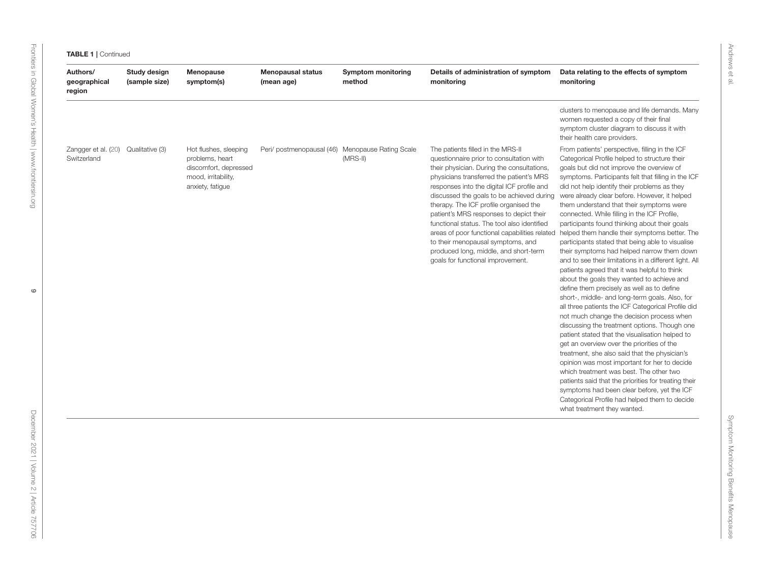| clusters to menopause and life demands. Many<br>women requested a copy of their final<br>symptom cluster diagram to discuss it with<br>their health care providers.<br>Zangger et al. (20)<br>Qualitative (3)<br>Peri/ postmenopausal (46) Menopause Rating Scale<br>The patients filled in the MRS-II<br>From patients' perspective, filling in the ICF<br>Hot flushes, sleeping<br>Switzerland<br>problems, heart<br>$(MRS-II)$<br>questionnaire prior to consultation with<br>Categorical Profile helped to structure their<br>discomfort, depressed<br>their physician. During the consultations,<br>goals but did not improve the overview of<br>mood, irritability,<br>physicians transferred the patient's MRS<br>symptoms. Participants felt that filling in the ICF<br>anxiety, fatigue<br>responses into the digital ICF profile and<br>did not help identify their problems as they<br>discussed the goals to be achieved during were already clear before. However, it helped<br>therapy. The ICF profile organised the<br>them understand that their symptoms were<br>patient's MRS responses to depict their<br>connected. While filling in the ICF Profile,<br>functional status. The tool also identified<br>participants found thinking about their goals<br>areas of poor functional capabilities related helped them handle their symptoms better. The<br>to their menopausal symptoms, and<br>participants stated that being able to visualise<br>produced long, middle, and short-term<br>their symptoms had helped narrow them down<br>goals for functional improvement.<br>and to see their limitations in a different light. All<br>patients agreed that it was helpful to think<br>about the goals they wanted to achieve and<br>define them precisely as well as to define<br>short-, middle- and long-term goals. Also, for<br>all three patients the ICF Categorical Profile did<br>not much change the decision process when<br>discussing the treatment options. Though one<br>patient stated that the visualisation helped to<br>get an overview over the priorities of the<br>treatment, she also said that the physician's<br>opinion was most important for her to decide<br>which treatment was best. The other two<br>patients said that the priorities for treating their<br>symptoms had been clear before, yet the ICF<br>Categorical Profile had helped them to decide<br>what treatment they wanted. | Authors/<br>geographical<br>region | Study design<br>(sample size) | Menopause<br>symptom(s) | <b>Menopausal status</b><br>(mean age) | <b>Symptom monitoring</b><br>method | Details of administration of symptom<br>monitoring | Data relating to the effects of symptom<br>monitoring |
|-----------------------------------------------------------------------------------------------------------------------------------------------------------------------------------------------------------------------------------------------------------------------------------------------------------------------------------------------------------------------------------------------------------------------------------------------------------------------------------------------------------------------------------------------------------------------------------------------------------------------------------------------------------------------------------------------------------------------------------------------------------------------------------------------------------------------------------------------------------------------------------------------------------------------------------------------------------------------------------------------------------------------------------------------------------------------------------------------------------------------------------------------------------------------------------------------------------------------------------------------------------------------------------------------------------------------------------------------------------------------------------------------------------------------------------------------------------------------------------------------------------------------------------------------------------------------------------------------------------------------------------------------------------------------------------------------------------------------------------------------------------------------------------------------------------------------------------------------------------------------------------------------------------------------------------------------------------------------------------------------------------------------------------------------------------------------------------------------------------------------------------------------------------------------------------------------------------------------------------------------------------------------------------------------------------------------------------------------------------------------------------------------------------------------------------------------|------------------------------------|-------------------------------|-------------------------|----------------------------------------|-------------------------------------|----------------------------------------------------|-------------------------------------------------------|
|                                                                                                                                                                                                                                                                                                                                                                                                                                                                                                                                                                                                                                                                                                                                                                                                                                                                                                                                                                                                                                                                                                                                                                                                                                                                                                                                                                                                                                                                                                                                                                                                                                                                                                                                                                                                                                                                                                                                                                                                                                                                                                                                                                                                                                                                                                                                                                                                                                               |                                    |                               |                         |                                        |                                     |                                                    |                                                       |
|                                                                                                                                                                                                                                                                                                                                                                                                                                                                                                                                                                                                                                                                                                                                                                                                                                                                                                                                                                                                                                                                                                                                                                                                                                                                                                                                                                                                                                                                                                                                                                                                                                                                                                                                                                                                                                                                                                                                                                                                                                                                                                                                                                                                                                                                                                                                                                                                                                               |                                    |                               |                         |                                        |                                     |                                                    |                                                       |
|                                                                                                                                                                                                                                                                                                                                                                                                                                                                                                                                                                                                                                                                                                                                                                                                                                                                                                                                                                                                                                                                                                                                                                                                                                                                                                                                                                                                                                                                                                                                                                                                                                                                                                                                                                                                                                                                                                                                                                                                                                                                                                                                                                                                                                                                                                                                                                                                                                               |                                    |                               |                         |                                        |                                     |                                                    |                                                       |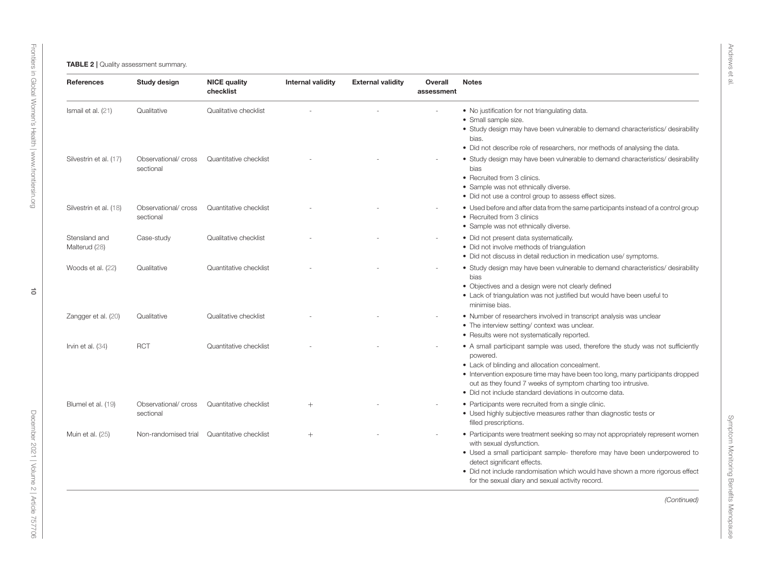<span id="page-9-0"></span>

| <b>References</b>              | Study design                      | <b>NICE quality</b><br>checklist | <b>Internal validity</b> | <b>External validity</b> | Overall<br>assessment | <b>Notes</b>                                                                                                                                                                                                                                                                                                                                                 |
|--------------------------------|-----------------------------------|----------------------------------|--------------------------|--------------------------|-----------------------|--------------------------------------------------------------------------------------------------------------------------------------------------------------------------------------------------------------------------------------------------------------------------------------------------------------------------------------------------------------|
| Ismail et al. (21)             | Qualitative                       | Qualitative checklist            |                          |                          |                       | . No justification for not triangulating data.<br>• Small sample size.<br>• Study design may have been vulnerable to demand characteristics/ desirability<br>bias.<br>• Did not describe role of researchers, nor methods of analysing the data.                                                                                                             |
| Silvestrin et al. (17)         | Observational/ cross<br>sectional | Quantitative checklist           |                          |                          |                       | • Study design may have been vulnerable to demand characteristics/ desirability<br>bias<br>• Recruited from 3 clinics.<br>• Sample was not ethnically diverse.<br>• Did not use a control group to assess effect sizes.                                                                                                                                      |
| Silvestrin et al. (18)         | Observational/ cross<br>sectional | Quantitative checklist           |                          |                          |                       | • Used before and after data from the same participants instead of a control group<br>• Recruited from 3 clinics<br>• Sample was not ethnically diverse.                                                                                                                                                                                                     |
| Stensland and<br>Malterud (28) | Case-study                        | Qualitative checklist            |                          |                          |                       | • Did not present data systematically.<br>• Did not involve methods of triangulation<br>• Did not discuss in detail reduction in medication use/symptoms.                                                                                                                                                                                                    |
| Woods et al. (22)              | Qualitative                       | Quantitative checklist           |                          |                          |                       | • Study design may have been vulnerable to demand characteristics/ desirability<br>bias<br>• Objectives and a design were not clearly defined<br>• Lack of triangulation was not justified but would have been useful to<br>minimise bias.                                                                                                                   |
| Zangger et al. (20)            | Qualitative                       | Qualitative checklist            |                          |                          |                       | • Number of researchers involved in transcript analysis was unclear<br>• The interview setting/ context was unclear.<br>• Results were not systematically reported.                                                                                                                                                                                          |
| Irvin et al. $(34)$            | <b>RCT</b>                        | Quantitative checklist           |                          |                          |                       | • A small participant sample was used, therefore the study was not sufficiently<br>powered.<br>• Lack of blinding and allocation concealment.<br>• Intervention exposure time may have been too long, many participants dropped<br>out as they found 7 weeks of symptom charting too intrusive.<br>· Did not include standard deviations in outcome data.    |
| Blumel et al. (19)             | Observational/ cross<br>sectional | Quantitative checklist           | $^{+}$                   |                          |                       | • Participants were recruited from a single clinic.<br>• Used highly subjective measures rather than diagnostic tests or<br>filled prescriptions.                                                                                                                                                                                                            |
| Muin et al. (25)               | Non-randomised trial              | Quantitative checklist           | $^{+}$                   |                          |                       | • Participants were treatment seeking so may not appropriately represent women<br>with sexual dysfunction.<br>• Used a small participant sample- therefore may have been underpowered to<br>detect significant effects.<br>• Did not include randomisation which would have shown a more rigorous effect<br>for the sexual diary and sexual activity record. |
|                                |                                   |                                  |                          |                          |                       | (Continued)                                                                                                                                                                                                                                                                                                                                                  |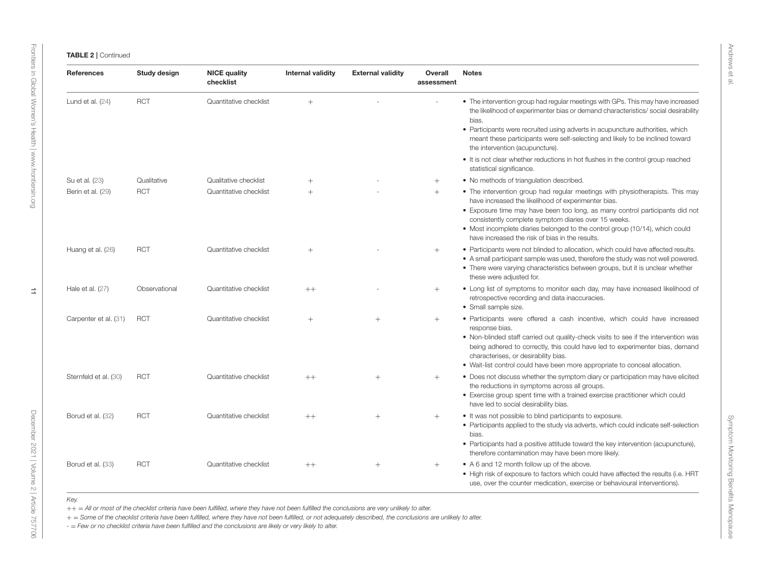| <b>References</b>     | Study design  | <b>NICE quality</b><br>checklist | <b>Internal validity</b> | <b>External validity</b> | Overall<br>assessment | <b>Notes</b>                                                                                                                                                                                                                                                                                                                                                                                                    |
|-----------------------|---------------|----------------------------------|--------------------------|--------------------------|-----------------------|-----------------------------------------------------------------------------------------------------------------------------------------------------------------------------------------------------------------------------------------------------------------------------------------------------------------------------------------------------------------------------------------------------------------|
| Lund et al. $(24)$    | <b>RCT</b>    | Quantitative checklist           | $+$                      |                          |                       | • The intervention group had regular meetings with GPs. This may have increased<br>the likelihood of experimenter bias or demand characteristics/social desirability<br>bias.<br>• Participants were recruited using adverts in acupuncture authorities, which                                                                                                                                                  |
|                       |               |                                  |                          |                          |                       | meant these participants were self-selecting and likely to be inclined toward<br>the intervention (acupuncture).                                                                                                                                                                                                                                                                                                |
|                       |               |                                  |                          |                          |                       | • It is not clear whether reductions in hot flushes in the control group reached<br>statistical significance.                                                                                                                                                                                                                                                                                                   |
| Su et al. (23)        | Qualitative   | Qualitative checklist            | $+$                      |                          | $^{+}$                | • No methods of triangulation described.                                                                                                                                                                                                                                                                                                                                                                        |
| Berin et al. (29)     | <b>RCT</b>    | Quantitative checklist           | $+$                      |                          | $^{+}$                | • The intervention group had regular meetings with physiotherapists. This may<br>have increased the likelihood of experimenter bias.<br>• Exposure time may have been too long, as many control participants did not<br>consistently complete symptom diaries over 15 weeks.<br>• Most incomplete diaries belonged to the control group (10/14), which could<br>have increased the risk of bias in the results. |
| Huang et al. (26)     | <b>RCT</b>    | Quantitative checklist           | $+$                      |                          | $^{+}$                | • Participants were not blinded to allocation, which could have affected results.<br>• A small participant sample was used, therefore the study was not well powered.<br>• There were varying characteristics between groups, but it is unclear whether<br>these were adjusted for.                                                                                                                             |
| Hale et al. (27)      | Observational | Quantitative checklist           | $++$                     |                          | $^{+}$                | • Long list of symptoms to monitor each day, may have increased likelihood of<br>retrospective recording and data inaccuracies.<br>• Small sample size.                                                                                                                                                                                                                                                         |
| Carpenter et al. (31) | <b>RCT</b>    | Quantitative checklist           | $+$                      | $^{+}$                   | $+$                   | • Participants were offered a cash incentive, which could have increased<br>response bias.<br>• Non-blinded staff carried out quality-check visits to see if the intervention was<br>being adhered to correctly, this could have led to experimenter bias, demand<br>characterises, or desirability bias.<br>• Wait-list control could have been more appropriate to conceal allocation.                        |
| Sternfeld et al. (30) | <b>RCT</b>    | Quantitative checklist           | $++$                     | $+$                      | $^{+}$                | • Does not discuss whether the symptom diary or participation may have elicited<br>the reductions in symptoms across all groups.<br>• Exercise group spent time with a trained exercise practitioner which could<br>have led to social desirability bias.                                                                                                                                                       |
| Borud et al. (32)     | <b>RCT</b>    | Quantitative checklist           | $++$                     | $^{+}$                   | $^{+}$                | • It was not possible to blind participants to exposure.<br>• Participants applied to the study via adverts, which could indicate self-selection<br>bias.<br>• Participants had a positive attitude toward the key intervention (acupuncture),                                                                                                                                                                  |
|                       |               |                                  |                          |                          |                       | therefore contamination may have been more likely.                                                                                                                                                                                                                                                                                                                                                              |
| Borud et al. (33)     | <b>RCT</b>    | Quantitative checklist           | $++$                     | $^{+}$                   | $+$                   | • A 6 and 12 month follow up of the above.<br>• High risk of exposure to factors which could have affected the results (i.e. HRT<br>use, over the counter medication, exercise or behavioural interventions).                                                                                                                                                                                                   |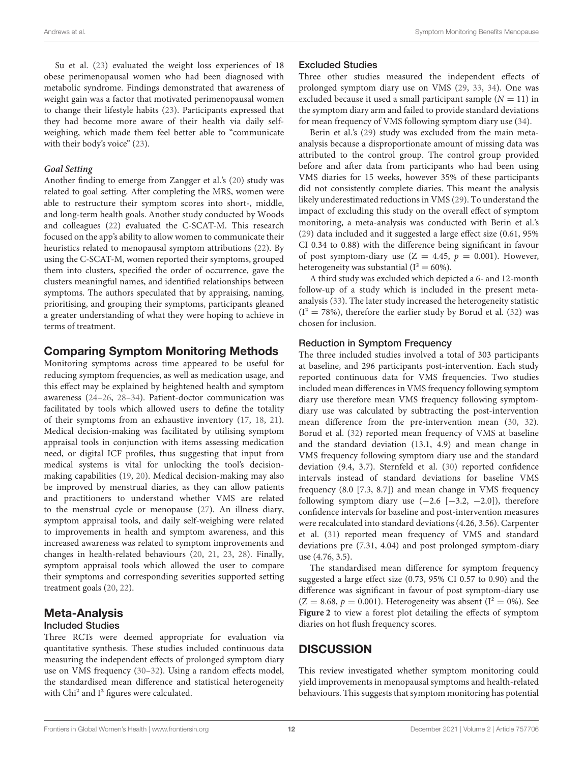Su et al. [\(23\)](#page-14-21) evaluated the weight loss experiences of 18 obese perimenopausal women who had been diagnosed with metabolic syndrome. Findings demonstrated that awareness of weight gain was a factor that motivated perimenopausal women to change their lifestyle habits [\(23\)](#page-14-21). Participants expressed that they had become more aware of their health via daily selfweighing, which made them feel better able to "communicate with their body's voice" [\(23\)](#page-14-21).

#### **Goal Setting**

Another finding to emerge from Zangger et al.'s [\(20\)](#page-14-18) study was related to goal setting. After completing the MRS, women were able to restructure their symptom scores into short-, middle, and long-term health goals. Another study conducted by Woods and colleagues [\(22\)](#page-14-20) evaluated the C-SCAT-M. This research focused on the app's ability to allow women to communicate their heuristics related to menopausal symptom attributions [\(22\)](#page-14-20). By using the C-SCAT-M, women reported their symptoms, grouped them into clusters, specified the order of occurrence, gave the clusters meaningful names, and identified relationships between symptoms. The authors speculated that by appraising, naming, prioritising, and grouping their symptoms, participants gleaned a greater understanding of what they were hoping to achieve in terms of treatment.

## Comparing Symptom Monitoring Methods

Monitoring symptoms across time appeared to be useful for reducing symptom frequencies, as well as medication usage, and this effect may be explained by heightened health and symptom awareness [\(24–](#page-14-22)[26,](#page-14-30) [28–](#page-14-24)[34\)](#page-14-26). Patient-doctor communication was facilitated by tools which allowed users to define the totality of their symptoms from an exhaustive inventory [\(17,](#page-14-15) [18,](#page-14-16) [21\)](#page-14-19). Medical decision-making was facilitated by utilising symptom appraisal tools in conjunction with items assessing medication need, or digital ICF profiles, thus suggesting that input from medical systems is vital for unlocking the tool's decisionmaking capabilities [\(19,](#page-14-17) [20\)](#page-14-18). Medical decision-making may also be improved by menstrual diaries, as they can allow patients and practitioners to understand whether VMS are related to the menstrual cycle or menopause [\(27\)](#page-14-31). An illness diary, symptom appraisal tools, and daily self-weighing were related to improvements in health and symptom awareness, and this increased awareness was related to symptom improvements and changes in health-related behaviours [\(20,](#page-14-18) [21,](#page-14-19) [23,](#page-14-21) [28\)](#page-14-24). Finally, symptom appraisal tools which allowed the user to compare their symptoms and corresponding severities supported setting treatment goals [\(20,](#page-14-18) [22\)](#page-14-20).

# Meta-Analysis

## Included Studies

Three RCTs were deemed appropriate for evaluation via quantitative synthesis. These studies included continuous data measuring the independent effects of prolonged symptom diary use on VMS frequency [\(30](#page-14-27)[–32\)](#page-14-28). Using a random effects model, the standardised mean difference and statistical heterogeneity with Chi<sup>2</sup> and I<sup>2</sup> figures were calculated.

#### Excluded Studies

Three other studies measured the independent effects of prolonged symptom diary use on VMS [\(29,](#page-14-25) [33,](#page-14-29) [34\)](#page-14-26). One was excluded because it used a small participant sample  $(N = 11)$  in the symptom diary arm and failed to provide standard deviations for mean frequency of VMS following symptom diary use [\(34\)](#page-14-26).

Berin et al.'s [\(29\)](#page-14-25) study was excluded from the main metaanalysis because a disproportionate amount of missing data was attributed to the control group. The control group provided before and after data from participants who had been using VMS diaries for 15 weeks, however 35% of these participants did not consistently complete diaries. This meant the analysis likely underestimated reductions in VMS [\(29\)](#page-14-25). To understand the impact of excluding this study on the overall effect of symptom monitoring, a meta-analysis was conducted with Berin et al.'s [\(29\)](#page-14-25) data included and it suggested a large effect size (0.61, 95% CI 0.34 to 0.88) with the difference being significant in favour of post symptom-diary use  $(Z = 4.45, p = 0.001)$ . However, heterogeneity was substantial ( $I^2 = 60\%$ ).

A third study was excluded which depicted a 6- and 12-month follow-up of a study which is included in the present metaanalysis [\(33\)](#page-14-29). The later study increased the heterogeneity statistic  $(I<sup>2</sup> = 78%)$ , therefore the earlier study by Borud et al. [\(32\)](#page-14-28) was chosen for inclusion.

#### Reduction in Symptom Frequency

The three included studies involved a total of 303 participants at baseline, and 296 participants post-intervention. Each study reported continuous data for VMS frequencies. Two studies included mean differences in VMS frequency following symptom diary use therefore mean VMS frequency following symptomdiary use was calculated by subtracting the post-intervention mean difference from the pre-intervention mean [\(30,](#page-14-27) [32\)](#page-14-28). Borud et al. [\(32\)](#page-14-28) reported mean frequency of VMS at baseline and the standard deviation (13.1, 4.9) and mean change in VMS frequency following symptom diary use and the standard deviation (9.4, 3.7). Sternfeld et al. [\(30\)](#page-14-27) reported confidence intervals instead of standard deviations for baseline VMS frequency (8.0 [7.3, 8.7]) and mean change in VMS frequency following symptom diary use  $(-2.6 [-3.2, -2.0])$ , therefore confidence intervals for baseline and post-intervention measures were recalculated into standard deviations (4.26, 3.56). Carpenter et al. [\(31\)](#page-14-50) reported mean frequency of VMS and standard deviations pre (7.31, 4.04) and post prolonged symptom-diary use (4.76, 3.5).

The standardised mean difference for symptom frequency suggested a large effect size (0.73, 95% CI 0.57 to 0.90) and the difference was significant in favour of post symptom-diary use  $(Z = 8.68, p = 0.001)$ . Heterogeneity was absent  $(I^2 = 0\%)$ . See **[Figure 2](#page-12-0)** to view a forest plot detailing the effects of symptom diaries on hot flush frequency scores.

## **DISCUSSION**

This review investigated whether symptom monitoring could yield improvements in menopausal symptoms and health-related behaviours. This suggests that symptom monitoring has potential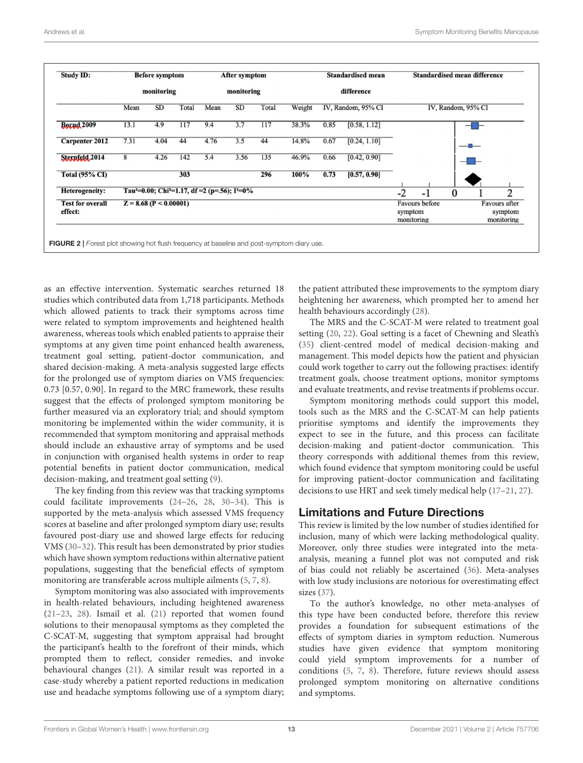| <b>Study ID:</b>                   |                          | <b>Before symptom</b> |       |                                                                                   | <b>After symptom</b><br>monitoring |       |        |      | <b>Standardised mean</b> |                       | <b>Standardised mean difference</b> |                    |                                        |                |  |
|------------------------------------|--------------------------|-----------------------|-------|-----------------------------------------------------------------------------------|------------------------------------|-------|--------|------|--------------------------|-----------------------|-------------------------------------|--------------------|----------------------------------------|----------------|--|
|                                    |                          | monitoring            |       |                                                                                   |                                    |       |        |      | difference               |                       |                                     |                    |                                        |                |  |
|                                    | Mean                     | SD                    | Total | Mean                                                                              | SD                                 | Total | Weight |      | IV, Random, 95% CI       |                       |                                     | IV, Random, 95% CI |                                        |                |  |
| <b>Boxud</b> 2009                  | 13.1                     | 4.9                   | 117   | 9.4                                                                               | 3.7                                | 117   | 38.3%  | 0.85 | [0.58, 1.12]             |                       |                                     |                    |                                        |                |  |
| <b>Carpenter 2012</b>              | 7.31                     | 4.04                  | 44    | 4.76                                                                              | 3.5                                | 44    | 14.8%  | 0.67 | [0.24, 1.10]             |                       |                                     |                    |                                        |                |  |
| Sternfeld, 2014                    | 8                        | 4.26                  | 142   | 5.4                                                                               | 3.56                               | 135   | 46.9%  | 0.66 | [0.42, 0.90]             |                       |                                     |                    |                                        |                |  |
| <b>Total (95% CI)</b>              |                          |                       | 303   |                                                                                   |                                    | 296   | 100%   | 0.73 | [0.57, 0.90]             |                       |                                     |                    |                                        |                |  |
| <b>Heterogeneity:</b>              |                          |                       |       | Tau <sup>2</sup> =0.00; Chi <sup>2</sup> =1.17, df =2 (p=.56); I <sup>2</sup> =0% |                                    |       |        |      |                          | $-2$                  | $-1$                                | $\bf{0}$           |                                        | $\overline{c}$ |  |
| <b>Test for overall</b><br>effect: | $Z = 8.68$ (P < 0.00001) |                       |       |                                                                                   |                                    |       |        |      |                          | symptom<br>monitoring | Favours before                      |                    | Favours after<br>symptom<br>monitoring |                |  |

<span id="page-12-0"></span>as an effective intervention. Systematic searches returned 18 studies which contributed data from 1,718 participants. Methods which allowed patients to track their symptoms across time were related to symptom improvements and heightened health awareness, whereas tools which enabled patients to appraise their symptoms at any given time point enhanced health awareness, treatment goal setting, patient-doctor communication, and shared decision-making. A meta-analysis suggested large effects for the prolonged use of symptom diaries on VMS frequencies: 0.73 [0.57, 0.90]. In regard to the MRC framework, these results suggest that the effects of prolonged symptom monitoring be further measured via an exploratory trial; and should symptom monitoring be implemented within the wider community, it is recommended that symptom monitoring and appraisal methods should include an exhaustive array of symptoms and be used in conjunction with organised health systems in order to reap potential benefits in patient doctor communication, medical decision-making, and treatment goal setting [\(9\)](#page-14-7).

The key finding from this review was that tracking symptoms could facilitate improvements [\(24–](#page-14-22)[26,](#page-14-30) [28,](#page-14-24) [30–](#page-14-27)[34\)](#page-14-26). This is supported by the meta-analysis which assessed VMS frequency scores at baseline and after prolonged symptom diary use; results favoured post-diary use and showed large effects for reducing VMS [\(30–](#page-14-27)[32\)](#page-14-28). This result has been demonstrated by prior studies which have shown symptom reductions within alternative patient populations, suggesting that the beneficial effects of symptom monitoring are transferable across multiple ailments [\(5,](#page-14-3) [7,](#page-14-5) [8\)](#page-14-6).

Symptom monitoring was also associated with improvements in health-related behaviours, including heightened awareness [\(21](#page-14-19)[–23,](#page-14-21) [28\)](#page-14-24). Ismail et al. [\(21\)](#page-14-19) reported that women found solutions to their menopausal symptoms as they completed the C-SCAT-M, suggesting that symptom appraisal had brought the participant's health to the forefront of their minds, which prompted them to reflect, consider remedies, and invoke behavioural changes [\(21\)](#page-14-19). A similar result was reported in a case-study whereby a patient reported reductions in medication use and headache symptoms following use of a symptom diary; the patient attributed these improvements to the symptom diary heightening her awareness, which prompted her to amend her health behaviours accordingly [\(28\)](#page-14-24).

The MRS and the C-SCAT-M were related to treatment goal setting [\(20,](#page-14-18) [22\)](#page-14-20). Goal setting is a facet of Chewning and Sleath's [\(35\)](#page-14-51) client-centred model of medical decision-making and management. This model depicts how the patient and physician could work together to carry out the following practises: identify treatment goals, choose treatment options, monitor symptoms and evaluate treatments, and revise treatments if problems occur.

Symptom monitoring methods could support this model, tools such as the MRS and the C-SCAT-M can help patients prioritise symptoms and identify the improvements they expect to see in the future, and this process can facilitate decision-making and patient-doctor communication. This theory corresponds with additional themes from this review, which found evidence that symptom monitoring could be useful for improving patient-doctor communication and facilitating decisions to use HRT and seek timely medical help [\(17–](#page-14-15)[21,](#page-14-19) [27\)](#page-14-31).

## Limitations and Future Directions

This review is limited by the low number of studies identified for inclusion, many of which were lacking methodological quality. Moreover, only three studies were integrated into the metaanalysis, meaning a funnel plot was not computed and risk of bias could not reliably be ascertained [\(36\)](#page-14-52). Meta-analyses with low study inclusions are notorious for overestimating effect sizes [\(37\)](#page-14-53).

To the author's knowledge, no other meta-analyses of this type have been conducted before, therefore this review provides a foundation for subsequent estimations of the effects of symptom diaries in symptom reduction. Numerous studies have given evidence that symptom monitoring could yield symptom improvements for a number of conditions [\(5,](#page-14-3) [7,](#page-14-5) [8\)](#page-14-6). Therefore, future reviews should assess prolonged symptom monitoring on alternative conditions and symptoms.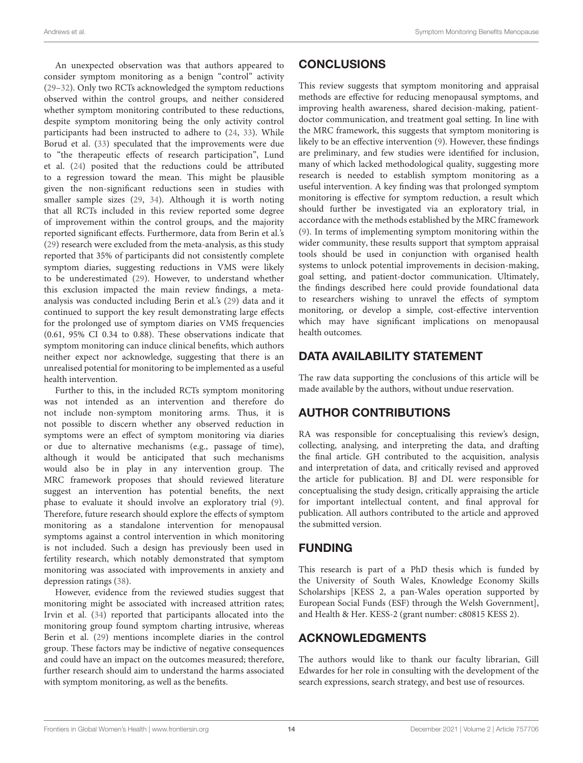An unexpected observation was that authors appeared to consider symptom monitoring as a benign "control" activity [\(29](#page-14-25)[–32\)](#page-14-28). Only two RCTs acknowledged the symptom reductions observed within the control groups, and neither considered whether symptom monitoring contributed to these reductions, despite symptom monitoring being the only activity control participants had been instructed to adhere to [\(24,](#page-14-22) [33\)](#page-14-29). While Borud et al. [\(33\)](#page-14-29) speculated that the improvements were due to "the therapeutic effects of research participation", Lund et al. [\(24\)](#page-14-22) posited that the reductions could be attributed to a regression toward the mean. This might be plausible given the non-significant reductions seen in studies with smaller sample sizes [\(29,](#page-14-25) [34\)](#page-14-26). Although it is worth noting that all RCTs included in this review reported some degree of improvement within the control groups, and the majority reported significant effects. Furthermore, data from Berin et al.'s [\(29\)](#page-14-25) research were excluded from the meta-analysis, as this study reported that 35% of participants did not consistently complete symptom diaries, suggesting reductions in VMS were likely to be underestimated [\(29\)](#page-14-25). However, to understand whether this exclusion impacted the main review findings, a metaanalysis was conducted including Berin et al.'s [\(29\)](#page-14-25) data and it continued to support the key result demonstrating large effects for the prolonged use of symptom diaries on VMS frequencies (0.61, 95% CI 0.34 to 0.88). These observations indicate that symptom monitoring can induce clinical benefits, which authors neither expect nor acknowledge, suggesting that there is an unrealised potential for monitoring to be implemented as a useful health intervention.

Further to this, in the included RCTs symptom monitoring was not intended as an intervention and therefore do not include non-symptom monitoring arms. Thus, it is not possible to discern whether any observed reduction in symptoms were an effect of symptom monitoring via diaries or due to alternative mechanisms (e.g., passage of time), although it would be anticipated that such mechanisms would also be in play in any intervention group. The MRC framework proposes that should reviewed literature suggest an intervention has potential benefits, the next phase to evaluate it should involve an exploratory trial [\(9\)](#page-14-7). Therefore, future research should explore the effects of symptom monitoring as a standalone intervention for menopausal symptoms against a control intervention in which monitoring is not included. Such a design has previously been used in fertility research, which notably demonstrated that symptom monitoring was associated with improvements in anxiety and depression ratings [\(38\)](#page-15-0).

However, evidence from the reviewed studies suggest that monitoring might be associated with increased attrition rates; Irvin et al. [\(34\)](#page-14-26) reported that participants allocated into the monitoring group found symptom charting intrusive, whereas Berin et al. [\(29\)](#page-14-25) mentions incomplete diaries in the control group. These factors may be indictive of negative consequences and could have an impact on the outcomes measured; therefore, further research should aim to understand the harms associated with symptom monitoring, as well as the benefits.

## **CONCLUSIONS**

This review suggests that symptom monitoring and appraisal methods are effective for reducing menopausal symptoms, and improving health awareness, shared decision-making, patientdoctor communication, and treatment goal setting. In line with the MRC framework, this suggests that symptom monitoring is likely to be an effective intervention [\(9\)](#page-14-7). However, these findings are preliminary, and few studies were identified for inclusion, many of which lacked methodological quality, suggesting more research is needed to establish symptom monitoring as a useful intervention. A key finding was that prolonged symptom monitoring is effective for symptom reduction, a result which should further be investigated via an exploratory trial, in accordance with the methods established by the MRC framework [\(9\)](#page-14-7). In terms of implementing symptom monitoring within the wider community, these results support that symptom appraisal tools should be used in conjunction with organised health systems to unlock potential improvements in decision-making, goal setting, and patient-doctor communication. Ultimately, the findings described here could provide foundational data to researchers wishing to unravel the effects of symptom monitoring, or develop a simple, cost-effective intervention which may have significant implications on menopausal health outcomes.

## DATA AVAILABILITY STATEMENT

The raw data supporting the conclusions of this article will be made available by the authors, without undue reservation.

## AUTHOR CONTRIBUTIONS

RA was responsible for conceptualising this review's design, collecting, analysing, and interpreting the data, and drafting the final article. GH contributed to the acquisition, analysis and interpretation of data, and critically revised and approved the article for publication. BJ and DL were responsible for conceptualising the study design, critically appraising the article for important intellectual content, and final approval for publication. All authors contributed to the article and approved the submitted version.

## FUNDING

This research is part of a PhD thesis which is funded by the University of South Wales, Knowledge Economy Skills Scholarships [KESS 2, a pan-Wales operation supported by European Social Funds (ESF) through the Welsh Government], and Health & Her. KESS-2 (grant number: c80815 KESS 2).

## ACKNOWLEDGMENTS

The authors would like to thank our faculty librarian, Gill Edwardes for her role in consulting with the development of the search expressions, search strategy, and best use of resources.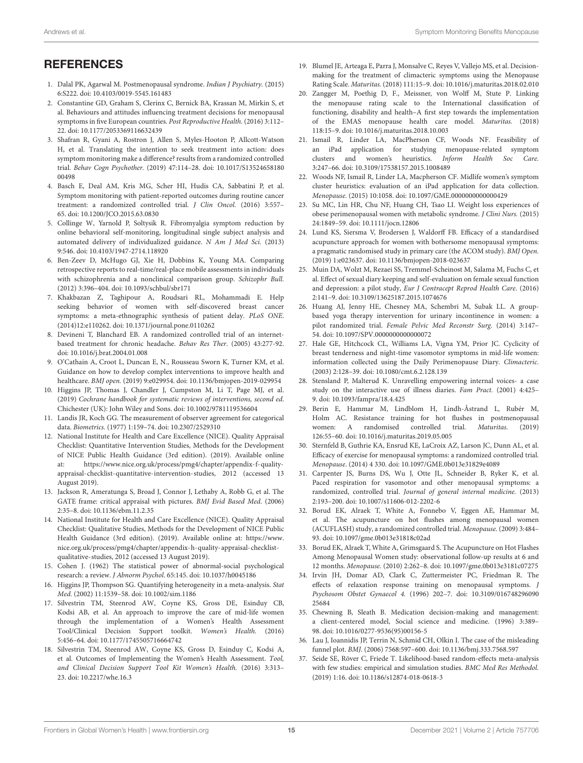## <span id="page-14-44"></span><span id="page-14-43"></span>**REFERENCES**

- <span id="page-14-0"></span>1. Dalal PK, Agarwal M. Postmenopausal syndrome. Indian J Psychiatry. (2015) 6:S222. doi: [10.4103/0019-5545.161483](https://doi.org/10.4103/0019-5545.161483)
- <span id="page-14-1"></span>2. Constantine GD, Graham S, Clerinx C, Bernick BA, Krassan M, Mirkin S, et al. Behaviours and attitudes influencing treatment decisions for menopausal symptoms in five European countries. Post Reproductive Health. (2016) 3:112– 22. doi: [10.1177/2053369116632439](https://doi.org/10.1177/2053369116632439)
- <span id="page-14-2"></span>3. Shafran R, Gyani A, Rostron J, Allen S, Myles-Hooton P, Allcott-Watson H, et al. Translating the intention to seek treatment into action: does symptom monitoring make a difference? results from a randomized controlled trial. Behav Cogn Psychother. [\(2019\) 47:114–28. doi: 10.1017/S13524658180](https://doi.org/10.1017/S1352465818000498) 00498
- 4. Basch E, Deal AM, Kris MG, Scher HI, Hudis CA, Sabbatini P, et al. Symptom monitoring with patient-reported outcomes during routine cancer treatment: a randomized controlled trial. J Clin Oncol. (2016) 3:557– 65. doi: [10.1200/JCO.2015.63.0830](https://doi.org/10.1200/JCO.2015.63.0830)
- <span id="page-14-3"></span>5. Collinge W, Yarnold P, Soltysik R. Fibromyalgia symptom reduction by online behavioral self-monitoring, longitudinal single subject analysis and automated delivery of individualized guidance. N Am J Med Sci. (2013) 9:546. doi: [10.4103/1947-2714.118920](https://doi.org/10.4103/1947-2714.118920)
- <span id="page-14-4"></span>6. Ben-Zeev D, McHugo GJ, Xie H, Dobbins K, Young MA. Comparing retrospective reports to real-time/real-place mobile assessments in individuals with schizophrenia and a nonclinical comparison group. Schizophr Bull. (2012) 3:396–404. doi: [10.1093/schbul/sbr171](https://doi.org/10.1093/schbul/sbr171)
- <span id="page-14-5"></span>7. Khakbazan Z, Taghipour A, Roudsari RL, Mohammadi E. Help seeking behavior of women with self-discovered breast cancer symptoms: a meta-ethnographic synthesis of patient delay. PLoS ONE. (2014)12:e110262. doi: [10.1371/journal.pone.0110262](https://doi.org/10.1371/journal.pone.0110262)
- <span id="page-14-6"></span>8. Devineni T, Blanchard EB. A randomized controlled trial of an internetbased treatment for chronic headache. Behav Res Ther. (2005) 43:277-92. doi: [10.1016/j.brat.2004.01.008](https://doi.org/10.1016/j.brat.2004.01.008)
- <span id="page-14-7"></span>9. O'Cathain A, Croot L, Duncan E, N., Rousseau Sworn K, Turner KM, et al. Guidance on how to develop complex interventions to improve health and healthcare. BMJ open. (2019) 9:e029954. doi: [10.1136/bmjopen-2019-029954](https://doi.org/10.1136/bmjopen-2019-029954)
- <span id="page-14-8"></span>10. Higgins JP, Thomas J, Chandler J, Cumpston M, Li T, Page MJ, et al. (2019) Cochrane handbook for systematic reviews of interventions, second ed. Chichester (UK): John Wiley and Sons. doi: [10.1002/9781119536604](https://doi.org/10.1002/9781119536604)
- <span id="page-14-9"></span>11. Landis JR, Koch GG. The measurement of observer agreement for categorical data. Biometrics. (1977) 1:159–74. doi: [10.2307/2529310](https://doi.org/10.2307/2529310)
- <span id="page-14-10"></span>12. National Institute for Health and Care Excellence (NICE). Quality Appraisal Checklist: Quantitative Intervention Studies, Methods for the Development of NICE Public Health Guidance (3rd edition). (2019). Available online at: [https://www.nice.org.uk/process/pmg4/chapter/appendix-f-quality](https://www.nice.org.uk/process/pmg4/chapter/appendix-f-quality-appraisal-checklist-quantitative-intervention-studies)[appraisal-checklist-quantitative-intervention-studies,](https://www.nice.org.uk/process/pmg4/chapter/appendix-f-quality-appraisal-checklist-quantitative-intervention-studies) 2012 (accessed 13 August 2019).
- <span id="page-14-11"></span>13. Jackson R, Ameratunga S, Broad J, Connor J, Lethaby A, Robb G, et al. The GATE frame: critical appraisal with pictures. BMJ Evid Based Med. (2006) 2:35–8. doi: [10.1136/ebm.11.2.35](https://doi.org/10.1136/ebm.11.2.35)
- <span id="page-14-12"></span>14. National Institute for Health and Care Excellence (NICE). Quality Appraisal Checklist: Qualitative Studies, Methods for the Development of NICE Public Health Guidance (3rd edition). (2019). Available online at: [https://www.](https://www.nice.org.uk/process/pmg4/chapter/appendix-h-quality-appraisal-checklist-qualitative-studies) [nice.org.uk/process/pmg4/chapter/appendix-h-quality-appraisal-checklist](https://www.nice.org.uk/process/pmg4/chapter/appendix-h-quality-appraisal-checklist-qualitative-studies)[qualitative-studies,](https://www.nice.org.uk/process/pmg4/chapter/appendix-h-quality-appraisal-checklist-qualitative-studies) 2012 (accessed 13 August 2019).
- <span id="page-14-13"></span>15. Cohen J. (1962) The statistical power of abnormal-social psychological research: a review. J Abnorm Psychol. 65:145. doi: [10.1037/h0045186](https://doi.org/10.1037/h0045186)
- <span id="page-14-14"></span>16. Higgins JP, Thompson SG. Quantifying heterogeneity in a meta-analysis. Stat Med. (2002) 11:1539–58. doi: [10.1002/sim.1186](https://doi.org/10.1002/sim.1186)
- <span id="page-14-15"></span>17. Silvestrin TM, Steenrod AW, Coyne KS, Gross DE, Esinduy CB, Kodsi AB, et al. An approach to improve the care of mid-life women through the implementation of a Women's Health Assessment Tool/Clinical Decision Support toolkit. Women's Health. (2016) 5:456–64. doi: [10.1177/1745505716664742](https://doi.org/10.1177/1745505716664742)
- <span id="page-14-16"></span>18. Silvestrin TM, Steenrod AW, Coyne KS, Gross D, Esinduy C, Kodsi A, et al. Outcomes of Implementing the Women's Health Assessment. Tool, and Clinical Decision Support Tool Kit Women's Health. (2016) 3:313– 23. doi: [10.2217/whe.16.3](https://doi.org/10.2217/whe.16.3)
- <span id="page-14-17"></span>19. Blumel JE, Arteaga E, Parra J, Monsalve C, Reyes V, Vallejo MS, et al. Decisionmaking for the treatment of climacteric symptoms using the Menopause Rating Scale. Maturitas. (2018) 111:15–9. doi: [10.1016/j.maturitas.2018.02.010](https://doi.org/10.1016/j.maturitas.2018.02.010)
- <span id="page-14-18"></span>20. Zangger M, Poethig D, F., Meissner, von Wolff M, Stute P. Linking the menopause rating scale to the International classification of functioning, disability and health–A first step towards the implementation of the EMAS menopause health care model. Maturitas. (2018) 118:15–9. doi: [10.1016/j.maturitas.2018.10.003](https://doi.org/10.1016/j.maturitas.2018.10.003)
- <span id="page-14-19"></span>21. Ismail R, Linder LA, MacPherson CF, Woods NF. Feasibility of an iPad application for studying menopause-related symptom clusters and women's heuristics. Inform Health Soc Care. 3:247–66. doi: [10.3109/17538157.2015.1008489](https://doi.org/10.3109/17538157.2015.1008489)
- <span id="page-14-20"></span>22. Woods NF, Ismail R, Linder LA, Macpherson CF. Midlife women's symptom cluster heuristics: evaluation of an iPad application for data collection. Menopause. (2015) 10:1058. doi: [10.1097/GME.0000000000000429](https://doi.org/10.1097/GME.0000000000000429)
- <span id="page-14-21"></span>23. Su MC, Lin HR, Chu NF, Huang CH, Tsao LI. Weight loss experiences of obese perimenopausal women with metabolic syndrome. J Clini Nurs. (2015) 24:1849–59. doi: [10.1111/jocn.12806](https://doi.org/10.1111/jocn.12806)
- <span id="page-14-22"></span>24. Lund KS, Siersma V, Brodersen J, Waldorff FB. Efficacy of a standardised acupuncture approach for women with bothersome menopausal symptoms: a pragmatic randomised study in primary care (the ACOM study). BMJ Open. (2019) 1:e023637. doi: [10.1136/bmjopen-2018-023637](https://doi.org/10.1136/bmjopen-2018-023637)
- <span id="page-14-23"></span>25. Muin DA, Wolzt M, Rezaei SS, Tremmel-Scheinost M, Salama M, Fuchs C, et al. Effect of sexual diary keeping and self-evaluation on female sexual function and depression: a pilot study, Eur J Contracept Reprod Health Care. (2016) 2:141–9. doi: [10.3109/13625187.2015.1074676](https://doi.org/10.3109/13625187.2015.1074676)
- <span id="page-14-49"></span><span id="page-14-48"></span><span id="page-14-47"></span><span id="page-14-46"></span><span id="page-14-45"></span><span id="page-14-42"></span><span id="page-14-41"></span><span id="page-14-40"></span><span id="page-14-39"></span><span id="page-14-38"></span><span id="page-14-37"></span><span id="page-14-36"></span><span id="page-14-35"></span><span id="page-14-34"></span><span id="page-14-33"></span><span id="page-14-32"></span><span id="page-14-30"></span>26. Huang AJ, Jenny HE, Chesney MA, Schembri M, Subak LL. A groupbased yoga therapy intervention for urinary incontinence in women: a pilot randomized trial. Female Pelvic Med Reconstr Surg. (2014) 3:147– 54. doi: [10.1097/SPV.0000000000000072](https://doi.org/10.1097/SPV.0000000000000072)
- <span id="page-14-31"></span>27. Hale GE, Hitchcock CL, Williams LA, Vigna YM, Prior JC. Cyclicity of breast tenderness and night-time vasomotor symptoms in mid-life women: information collected using the Daily Perimenopause Diary. Climacteric. (2003) 2:128–39. doi: [10.1080/cmt.6.2.128.139](https://doi.org/10.1080/cmt.6.2.128.139)
- <span id="page-14-24"></span>28. Stensland P, Malterud K. Unravelling empowering internal voices- a case study on the interactive use of illness diaries. Fam Pract. (2001) 4:425– 9. doi: [10.1093/fampra/18.4.425](https://doi.org/10.1093/fampra/18.4.425)
- <span id="page-14-25"></span>29. Berin E, Hammar M, Lindblom H, Lindh-Åstrand L, Rubér M, Holm AC. Resistance training for hot flushes in postmenopausal women: A randomised controlled trial. Maturitas. (2019) 126:55–60. doi: [10.1016/j.maturitas.2019.05.005](https://doi.org/10.1016/j.maturitas.2019.05.005)
- <span id="page-14-27"></span>30. Sternfeld B, Guthrie KA, Ensrud KE, LaCroix AZ, Larson JC, Dunn AL, et al. Efficacy of exercise for menopausal symptoms: a randomized controlled trial. Menopause. (2014) 4 330. doi: [10.1097/GME.0b013e31829e4089](https://doi.org/10.1097/GME.0b013e31829e4089)
- <span id="page-14-50"></span>31. Carpenter JS, Burns DS, Wu J, Otte JL, Schneider B, Ryker K, et al. Paced respiration for vasomotor and other menopausal symptoms: a randomized, controlled trial. Journal of general internal medicine. (2013) 2:193–200. doi: [10.1007/s11606-012-2202-6](https://doi.org/10.1007/s11606-012-2202-6)
- <span id="page-14-28"></span>32. Borud EK, Alraek T, White A, Fonnebo V, Eggen AE, Hammar M, et al. The acupuncture on hot flushes among menopausal women (ACUFLASH) study, a randomized controlled trial. Menopause. (2009) 3:484– 93. doi: [10.1097/gme.0b013e31818c02ad](https://doi.org/10.1097/gme.0b013e31818c02ad)
- <span id="page-14-29"></span>33. Borud EK, Alraek T, White A, Grimsgaard S. The Acupuncture on Hot Flashes Among Menopausal Women study: observational follow-up results at 6 and 12 months. Menopause. (2010) 2:262–8. doi: [10.1097/gme.0b013e3181c07275](https://doi.org/10.1097/gme.0b013e3181c07275)
- <span id="page-14-26"></span>34. Irvin JH, Domar AD, Clark C, Zuttermeister PC, Friedman R. The effects of relaxation response training on menopausal symptoms. J Psychosom Obstet Gynaecol 4. [\(1996\) 202–7. doi: 10.3109/016748296090](https://doi.org/10.3109/01674829609025684) 25684
- <span id="page-14-51"></span>35. Chewning B, Sleath B. Medication decision-making and management: a client-centered model, Social science and medicine. (1996) 3:389– 98. doi: [10.1016/0277-9536\(95\)00156-5](https://doi.org/10.1016/0277-9536(95)00156-5)
- <span id="page-14-52"></span>36. Lau J, Ioannidis JP, Terrin N, Schmid CH, Olkin I. The case of the misleading funnel plot. BMJ. (2006) 7568:597–600. doi: [10.1136/bmj.333.7568.597](https://doi.org/10.1136/bmj.333.7568.597)
- <span id="page-14-53"></span>37. Seide SE, Röver C, Friede T. Likelihood-based random-effects meta-analysis with few studies: empirical and simulation studies. BMC Med Res Methodol. (2019) 1:16. doi: [10.1186/s12874-018-0618-3](https://doi.org/10.1186/s12874-018-0618-3)